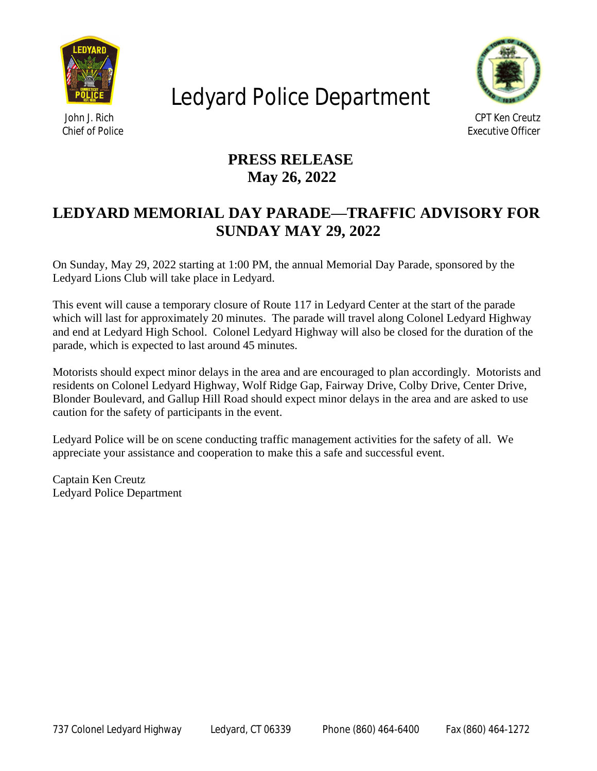

## Ledyard Police Department



 *John J. Rich CPT Ken Creutz Chief of Police Executive Officer*

## **PRESS RELEASE May 26, 2022**

## **LEDYARD MEMORIAL DAY PARADE—TRAFFIC ADVISORY FOR SUNDAY MAY 29, 2022**

On Sunday, May 29, 2022 starting at 1:00 PM, the annual Memorial Day Parade, sponsored by the Ledyard Lions Club will take place in Ledyard.

This event will cause a temporary closure of Route 117 in Ledyard Center at the start of the parade which will last for approximately 20 minutes. The parade will travel along Colonel Ledyard Highway and end at Ledyard High School. Colonel Ledyard Highway will also be closed for the duration of the parade, which is expected to last around 45 minutes.

Motorists should expect minor delays in the area and are encouraged to plan accordingly. Motorists and residents on Colonel Ledyard Highway, Wolf Ridge Gap, Fairway Drive, Colby Drive, Center Drive, Blonder Boulevard, and Gallup Hill Road should expect minor delays in the area and are asked to use caution for the safety of participants in the event.

Ledyard Police will be on scene conducting traffic management activities for the safety of all. We appreciate your assistance and cooperation to make this a safe and successful event.

Captain Ken Creutz Ledyard Police Department